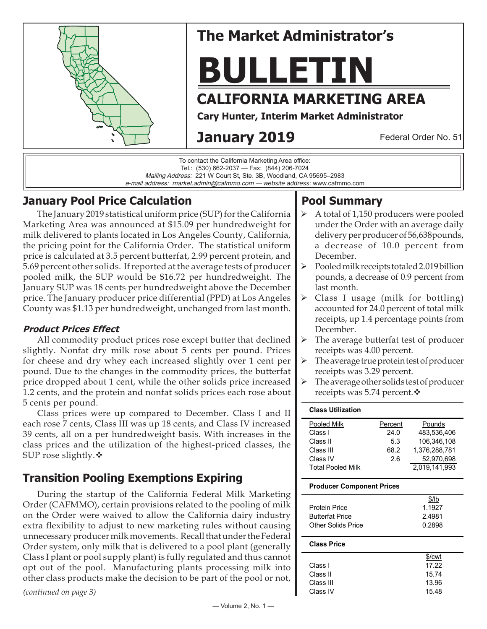

# **The Market Administrator's**

# **BULLETIN**

## **CALIFORNIA MARKETING AREA**

**Cary Hunter, Interim Market Administrator**

# **January 2019**

Federal Order No. 51

To contact the California Marketing Area office: Tel.: (530) 662-2037 — Fax: (844) 206-7024 Mailing Address: 221 W Court St, Ste. 3B, Woodland, CA 95695–2983 e-mail address: market.admin@cafmmo.com — *website address*: www.cafmmo.com

## **January Pool Price Calculation**

The January 2019 statistical uniform price (SUP) for the California Marketing Area was announced at \$15.09 per hundredweight for milk delivered to plants located in Los Angeles County, California, the pricing point for the California Order. The statistical uniform price is calculated at 3.5 percent butterfat, 2.99 percent protein, and 5.69 percent other solids. If reported at the average tests of producer pooled milk, the SUP would be \$16.72 per hundredweight. The January SUP was 18 cents per hundredweight above the December price. The January producer price differential (PPD) at Los Angeles County was \$1.13 per hundredweight, unchanged from last month.

#### **Product Prices Effect**

All commodity product prices rose except butter that declined slightly. Nonfat dry milk rose about 5 cents per pound. Prices for cheese and dry whey each increased slightly over 1 cent per pound. Due to the changes in the commodity prices, the butterfat price dropped about 1 cent, while the other solids price increased 1.2 cents, and the protein and nonfat solids prices each rose about 5 cents per pound.

Class prices were up compared to December. Class I and II each rose 7 cents, Class III was up 18 cents, and Class IV increased 39 cents, all on a per hundredweight basis. With increases in the class prices and the utilization of the highest-priced classes, the SUP rose slightly. $\mathbf{\hat{v}}$ 

## **Transition Pooling Exemptions Expiring**

During the startup of the California Federal Milk Marketing Order (CAFMMO), certain provisions related to the pooling of milk on the Order were waived to allow the California dairy industry extra flexibility to adjust to new marketing rules without causing unnecessary producer milk movements. Recall that under the Federal Order system, only milk that is delivered to a pool plant (generally Class I plant or pool supply plant) is fully regulated and thus cannot opt out of the pool. Manufacturing plants processing milk into other class products make the decision to be part of the pool or not,

*(continued on page 3)*

## **Pool Summary**

- A total of 1,150 producers were pooled under the Order with an average daily delivery per producer of 56,638pounds, a decrease of 10.0 percent from December.
- Pooled milk receipts totaled 2.019 billion pounds, a decrease of 0.9 percent from last month.
- $\triangleright$  Class I usage (milk for bottling) accounted for 24.0 percent of total milk receipts, up 1.4 percentage points from December.
- $\triangleright$  The average butterfat test of producer receipts was 4.00 percent.
- The average true protein test of producer receipts was 3.29 percent.
- $\triangleright$  The average other solids test of producer receipts was 5.74 percent. ❖

| <b>Class Utilization</b> |         |               |
|--------------------------|---------|---------------|
| Pooled Milk              | Percent | Pounds        |
| Class I                  | 24.0    | 483.536.406   |
| Class II                 | 5.3     | 106.346.108   |
| Class III                | 68.2    | 1.376.288.781 |
| Class IV                 | 2.6     | 52,970,698    |
| <b>Total Pooled Milk</b> |         | 2,019,141,993 |

#### **Producer Component Prices**

|                        | $$$ /lb |
|------------------------|---------|
| Protein Price          | 1.1927  |
| <b>Butterfat Price</b> | 2.4981  |
| Other Solids Price     | 0.2898  |
|                        |         |

#### **Class Price**

|           | \$/cwt |
|-----------|--------|
| Class I   | 17.22  |
| Class II  | 15.74  |
| Class III | 13.96  |
| Class IV  | 15.48  |
|           |        |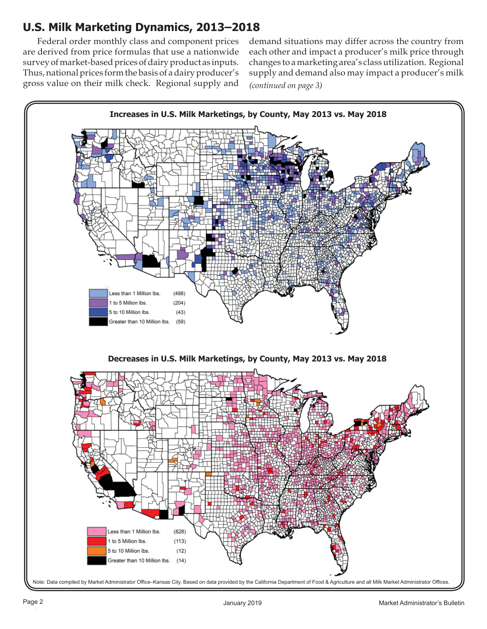## **U.S. Milk Marketing Dynamics, 2013–2018**

Federal order monthly class and component prices are derived from price formulas that use a nationwide survey of market-based prices of dairy product as inputs. Thus, national prices form the basis of a dairy producer's gross value on their milk check. Regional supply and *(continued on page 3)* demand situations may differ across the country from each other and impact a producer's milk price through changes to a marketing area's class utilization. Regional supply and demand also may impact a producer's milk

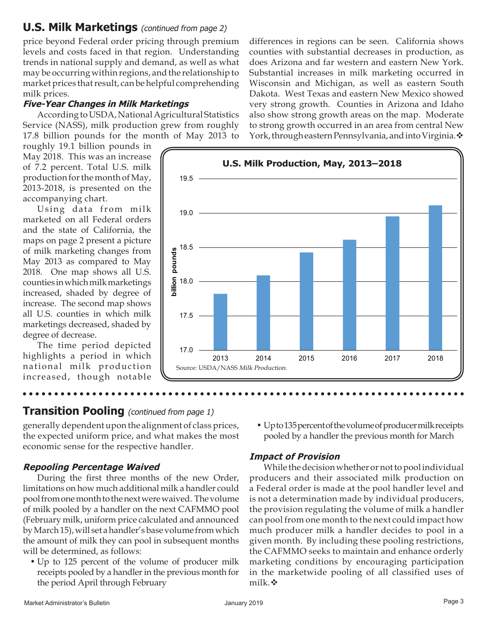## **U.S. Milk Marketings** (continued from page 2)

price beyond Federal order pricing through premium levels and costs faced in that region. Understanding trends in national supply and demand, as well as what may be occurring within regions, and the relationship to market prices that result, can be helpful comprehending milk prices.

#### **Five-Year Changes in Milk Marketings**

According to USDA, National Agricultural Statistics Service (NASS), milk production grew from roughly 17.8 billion pounds for the month of May 2013 to

roughly 19.1 billion pounds in May 2018. This was an increase of 7.2 percent. Total U.S. milk production for the month of May, 2013-2018, is presented on the accompanying chart.

Using data from milk marketed on all Federal orders and the state of California, the maps on page 2 present a picture of milk marketing changes from May 2013 as compared to May 2018. One map shows all U.S. counties in which milk marketings increased, shaded by degree of increase. The second map shows all U.S. counties in which milk marketings decreased, shaded by degree of decrease.

The time period depicted highlights a period in which national milk production increased, though notable

differences in regions can be seen. California shows counties with substantial decreases in production, as does Arizona and far western and eastern New York. Substantial increases in milk marketing occurred in Wisconsin and Michigan, as well as eastern South Dakota. West Texas and eastern New Mexico showed very strong growth. Counties in Arizona and Idaho also show strong growth areas on the map. Moderate to strong growth occurred in an area from central New York, through eastern Pennsylvania, and into Virginia.  $\mathbf{\hat{v}}$ 



#### **Transition Pooling** (continued from page 1)

generally dependent upon the alignment of class prices, the expected uniform price, and what makes the most economic sense for the respective handler.

#### **Repooling Percentage Waived**

During the first three months of the new Order, limitations on how much additional milk a handler could pool from one month to the next were waived. The volume of milk pooled by a handler on the next CAFMMO pool (February milk, uniform price calculated and announced by March 15), will set a handler's base volume from which the amount of milk they can pool in subsequent months will be determined, as follows:

• Up to 125 percent of the volume of producer milk receipts pooled by a handler in the previous month for the period April through February

• Up to 135 percent of the volume of producer milk receipts pooled by a handler the previous month for March

#### **Impact of Provision**

While the decision whether or not to pool individual producers and their associated milk production on a Federal order is made at the pool handler level and is not a determination made by individual producers, the provision regulating the volume of milk a handler can pool from one month to the next could impact how much producer milk a handler decides to pool in a given month. By including these pooling restrictions, the CAFMMO seeks to maintain and enhance orderly marketing conditions by encouraging participation in the marketwide pooling of all classified uses of milk. ❖